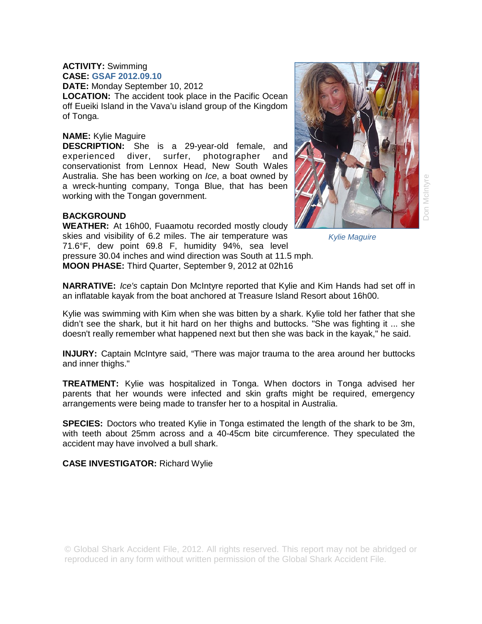#### **ACTIVITY:** Swimming **CASE: GSAF 2012.09.10**

**DATE:** Monday September 10, 2012

**LOCATION:** The accident took place in the Pacific Ocean off Eueiki Island in the Vava'u island group of the Kingdom of Tonga.

### **NAME:** Kylie Maguire

**DESCRIPTION:** She is a 29-year-old female, and experienced diver, surfer, photographer and conservationist from Lennox Head, New South Wales Australia. She has been working on *Ice*, a boat owned by a wreck-hunting company, Tonga Blue, that has been working with the Tongan government.

## **BACKGROUND**

**WEATHER:** At 16h00, Fuaamotu recorded mostly cloudy skies and visibility of 6.2 miles. The air temperature was 71.6°F, dew point 69.8 F, humidity 94%, sea level pressure 30.04 inches and wind direction was South at 11.5 mph. **MOON PHASE:** Third Quarter, September 9, 2012 at 02h16



Don McIntyre

*Kylie Maguire* 

**NARRATIVE:** *Ice's* captain Don McIntyre reported that Kylie and Kim Hands had set off in an inflatable kayak from the boat anchored at Treasure Island Resort about 16h00.

Kylie was swimming with Kim when she was bitten by a shark. Kylie told her father that she didn't see the shark, but it hit hard on her thighs and buttocks. "She was fighting it ... she doesn't really remember what happened next but then she was back in the kayak," he said.

**INJURY:** Captain McIntyre said, "There was major trauma to the area around her buttocks and inner thighs."

**TREATMENT:** Kylie was hospitalized in Tonga. When doctors in Tonga advised her parents that her wounds were infected and skin grafts might be required, emergency arrangements were being made to transfer her to a hospital in Australia.

**SPECIES:** Doctors who treated Kylie in Tonga estimated the length of the shark to be 3m, with teeth about 25mm across and a 40-45cm bite circumference. They speculated the accident may have involved a bull shark.

**CASE INVESTIGATOR:** Richard Wylie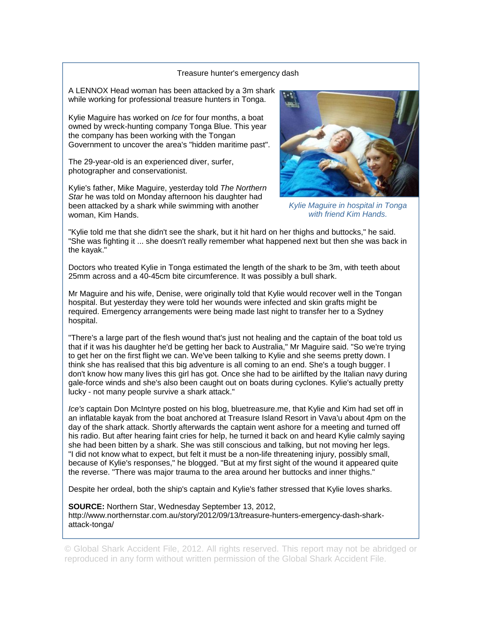#### Treasure hunter's emergency dash

A LENNOX Head woman has been attacked by a 3m shark while working for professional treasure hunters in Tonga.

Kylie Maguire has worked on *Ice* for four months, a boat owned by wreck-hunting company Tonga Blue. This year the company has been working with the Tongan Government to uncover the area's "hidden maritime past".

The 29-year-old is an experienced diver, surfer, photographer and conservationist.

Kylie's father, Mike Maguire, yesterday told *The Northern*  Star he was told on Monday afternoon his daughter had been attacked by a shark while swimming with another woman, Kim Hands.



*Kylie Maguire in hospital in Tonga with friend Kim Hands.* 

"Kylie told me that she didn't see the shark, but it hit hard on her thighs and buttocks," he said. "She was fighting it ... she doesn't really remember what happened next but then she was back in the kayak."

Doctors who treated Kylie in Tonga estimated the length of the shark to be 3m, with teeth about 25mm across and a 40-45cm bite circumference. It was possibly a bull shark.

Mr Maguire and his wife, Denise, were originally told that Kylie would recover well in the Tongan hospital. But yesterday they were told her wounds were infected and skin grafts might be required. Emergency arrangements were being made last night to transfer her to a Sydney hospital.

"There's a large part of the flesh wound that's just not healing and the captain of the boat told us that if it was his daughter he'd be getting her back to Australia," Mr Maguire said. "So we're trying to get her on the first flight we can. We've been talking to Kylie and she seems pretty down. I think she has realised that this big adventure is all coming to an end. She's a tough bugger. I don't know how many lives this girl has got. Once she had to be airlifted by the Italian navy during gale-force winds and she's also been caught out on boats during cyclones. Kylie's actually pretty lucky - not many people survive a shark attack."

*Ice's* captain Don McIntyre posted on his blog, bluetreasure.me, that Kylie and Kim had set off in an inflatable kayak from the boat anchored at Treasure Island Resort in Vava'u about 4pm on the day of the shark attack. Shortly afterwards the captain went ashore for a meeting and turned off his radio. But after hearing faint cries for help, he turned it back on and heard Kylie calmly saying she had been bitten by a shark. She was still conscious and talking, but not moving her legs. "I did not know what to expect, but felt it must be a non-life threatening injury, possibly small, because of Kylie's responses," he blogged. "But at my first sight of the wound it appeared quite the reverse. "There was major trauma to the area around her buttocks and inner thighs."

Despite her ordeal, both the ship's captain and Kylie's father stressed that Kylie loves sharks.

**SOURCE:** Northern Star, Wednesday September 13, 2012, http://www.northernstar.com.au/story/2012/09/13/treasure-hunters-emergency-dash-sharkattack-tonga/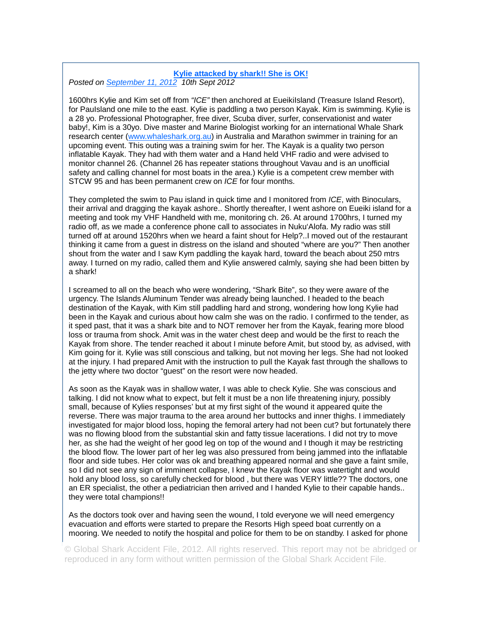## **Kylie attacked by shark!! She is OK!**

*Posted on September 11, 2012 10th Sept 2012* 

1600hrs Kylie and Kim set off from *"ICE"* then anchored at EueikiIsland (Treasure Island Resort), for PauIsland one mile to the east. Kylie is paddling a two person Kayak. Kim is swimming. Kylie is a 28 yo. Professional Photographer, free diver, Scuba diver, surfer, conservationist and water baby!, Kim is a 30yo. Dive master and Marine Biologist working for an international Whale Shark research center (www.whaleshark.org.au) in Australia and Marathon swimmer in training for an upcoming event. This outing was a training swim for her. The Kayak is a quality two person inflatable Kayak. They had with them water and a Hand held VHF radio and were advised to monitor channel 26. (Channel 26 has repeater stations throughout Vavau and is an unofficial safety and calling channel for most boats in the area.) Kylie is a competent crew member with STCW 95 and has been permanent crew on *ICE* for four months.

They completed the swim to Pau island in quick time and I monitored from *ICE*, with Binoculars, their arrival and dragging the kayak ashore.. Shortly thereafter, I went ashore on Eueiki island for a meeting and took my VHF Handheld with me, monitoring ch. 26. At around 1700hrs, I turned my radio off, as we made a conference phone call to associates in Nuku'Alofa. My radio was still turned off at around 1520hrs when we heard a faint shout for Help?..I moved out of the restaurant thinking it came from a guest in distress on the island and shouted "where are you?" Then another shout from the water and I saw Kym paddling the kayak hard, toward the beach about 250 mtrs away. I turned on my radio, called them and Kylie answered calmly, saying she had been bitten by a shark!

I screamed to all on the beach who were wondering, "Shark Bite", so they were aware of the urgency. The Islands Aluminum Tender was already being launched. I headed to the beach destination of the Kayak, with Kim still paddling hard and strong, wondering how long Kylie had been in the Kayak and curious about how calm she was on the radio. I confirmed to the tender, as it sped past, that it was a shark bite and to NOT remover her from the Kayak, fearing more blood loss or trauma from shock. Amit was in the water chest deep and would be the first to reach the Kayak from shore. The tender reached it about I minute before Amit, but stood by, as advised, with Kim going for it. Kylie was still conscious and talking, but not moving her legs. She had not looked at the injury. I had prepared Amit with the instruction to pull the Kayak fast through the shallows to the jetty where two doctor "guest" on the resort were now headed.

As soon as the Kayak was in shallow water, I was able to check Kylie. She was conscious and talking. I did not know what to expect, but felt it must be a non life threatening injury, possibly small, because of Kylies responses' but at my first sight of the wound it appeared quite the reverse. There was major trauma to the area around her buttocks and inner thighs. I immediately investigated for major blood loss, hoping the femoral artery had not been cut? but fortunately there was no flowing blood from the substantial skin and fatty tissue lacerations. I did not try to move her, as she had the weight of her good leg on top of the wound and I though it may be restricting the blood flow. The lower part of her leg was also pressured from being jammed into the inflatable floor and side tubes. Her color was ok and breathing appeared normal and she gave a faint smile, so I did not see any sign of imminent collapse, I knew the Kayak floor was watertight and would hold any blood loss, so carefully checked for blood , but there was VERY little?? The doctors, one an ER specialist, the other a pediatrician then arrived and I handed Kylie to their capable hands.. they were total champions!!

As the doctors took over and having seen the wound, I told everyone we will need emergency evacuation and efforts were started to prepare the Resorts High speed boat currently on a mooring. We needed to notify the hospital and police for them to be on standby. I asked for phone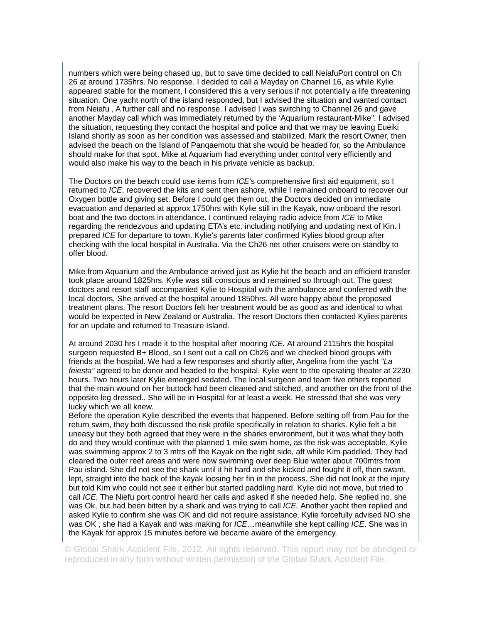numbers which were being chased up, but to save time decided to call NeiafuPort control on Ch 26 at around 1735hrs. No response. I decided to call a Mayday on Channel 16, as while Kylie appeared stable for the moment, I considered this a very serious if not potentially a life threatening situation. One yacht north of the island responded, but I advised the situation and wanted contact from Neiafu , A further call and no response. I advised I was switching to Channel 26 and gave another Mayday call which was immediately returned by the 'Aquarium restaurant-Mike". I advised the situation, requesting they contact the hospital and police and that we may be leaving Eueiki Island shortly as soon as her condition was assessed and stabilized. Mark the resort Owner, then advised the beach on the Island of Panqaemotu that she would be headed for, so the Ambulance should make for that spot. Mike at Aquarium had everything under control very efficiently and would also make his way to the beach in his private vehicle as backup.

The Doctors on the beach could use items from *ICE*'s comprehensive first aid equipment, so I returned to *ICE*, recovered the kits and sent then ashore, while I remained onboard to recover our Oxygen bottle and giving set. Before I could get them out, the Doctors decided on immediate evacuation and departed at approx 1750hrs with Kylie still in the Kayak, now onboard the resort boat and the two doctors in attendance. I continued relaying radio advice from *ICE* to Mike regarding the rendezvous and updating ETA's etc. including notifying and updating next of Kin. I prepared *ICE* for departure to town. Kylie's parents later confirmed Kylies blood group after checking with the local hospital in Australia. Via the Ch26 net other cruisers were on standby to offer blood.

Mike from Aquarium and the Ambulance arrived just as Kylie hit the beach and an efficient transfer took place around 1825hrs. Kylie was still conscious and remained so through out. The guest doctors and resort staff accompanied Kylie to Hospital with the ambulance and conferred with the local doctors. She arrived at the hospital around 1850hrs. All were happy about the proposed treatment plans. The resort Doctors felt her treatment would be as good as and identical to what would be expected in New Zealand or Australia. The resort Doctors then contacted Kylies parents for an update and returned to Treasure Island.

At around 2030 hrs I made it to the hospital after mooring *ICE.* At around 2115hrs the hospital surgeon requested B+ Blood, so I sent out a call on Ch26 and we checked blood groups with friends at the hospital. We had a few responses and shortly after, Angelina from the yacht *"La feiesta"* agreed to be donor and headed to the hospital. Kylie went to the operating theater at 2230 hours. Two hours later Kylie emerged sedated. The local surgeon and team five others reported that the main wound on her buttock had been cleaned and stitched, and another on the front of the opposite leg dressed.. She will be in Hospital for at least a week. He stressed that she was very lucky which we all knew.

Before the operation Kylie described the events that happened. Before setting off from Pau for the return swim, they both discussed the risk profile specifically in relation to sharks. Kylie felt a bit uneasy but they both agreed that they were in the sharks environment, but it was what they both do and they would continue with the planned 1 mile swim home, as the risk was acceptable. Kylie was swimming approx 2 to 3 mtrs off the Kayak on the right side, aft while Kim paddled. They had cleared the outer reef areas and were now swimming over deep Blue water about 700mtrs from Pau island. She did not see the shark until it hit hard and she kicked and fought it off, then swam, lept, straight into the back of the kayak loosing her fin in the process. She did not look at the injury but told Kim who could not see it either but started paddling hard. Kylie did not move, but tried to call *ICE*. The Niefu port control heard her calls and asked if she needed help. She replied no, she was Ok, but had been bitten by a shark and was trying to call *ICE.* Another yacht then replied and asked Kylie to confirm she was OK and did not require assistance. Kylie forcefully advised NO she was OK , she had a Kayak and was making for *ICE*…meanwhile she kept calling *ICE*. She was in the Kayak for approx 15 minutes before we became aware of the emergency.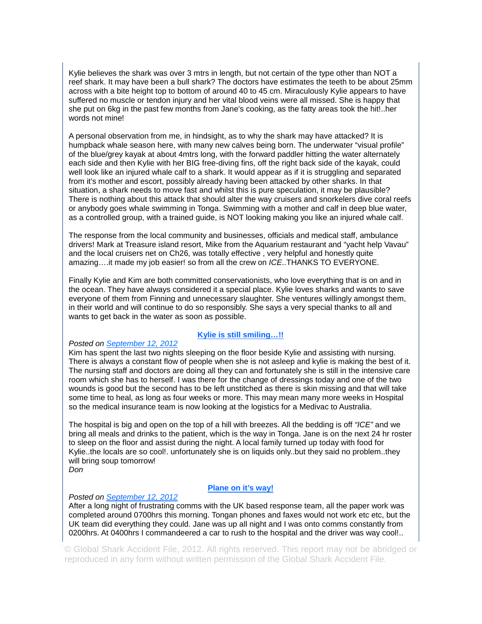Kylie believes the shark was over 3 mtrs in length, but not certain of the type other than NOT a reef shark. It may have been a bull shark? The doctors have estimates the teeth to be about 25mm across with a bite height top to bottom of around 40 to 45 cm. Miraculously Kylie appears to have suffered no muscle or tendon injury and her vital blood veins were all missed. She is happy that she put on 6kg in the past few months from Jane's cooking, as the fatty areas took the hit!..her words not mine!

A personal observation from me, in hindsight, as to why the shark may have attacked? It is humpback whale season here, with many new calves being born. The underwater "visual profile" of the blue/grey kayak at about 4mtrs long, with the forward paddler hitting the water alternately each side and then Kylie with her BIG free-diving fins, off the right back side of the kayak, could well look like an injured whale calf to a shark. It would appear as if it is struggling and separated from it's mother and escort, possibly already having been attacked by other sharks. In that situation, a shark needs to move fast and whilst this is pure speculation, it may be plausible? There is nothing about this attack that should alter the way cruisers and snorkelers dive coral reefs or anybody goes whale swimming in Tonga. Swimming with a mother and calf in deep blue water, as a controlled group, with a trained guide, is NOT looking making you like an injured whale calf.

The response from the local community and businesses, officials and medical staff, ambulance drivers! Mark at Treasure island resort, Mike from the Aquarium restaurant and "yacht help Vavau" and the local cruisers net on Ch26, was totally effective , very helpful and honestly quite amazing….it made my job easier! so from all the crew on *ICE*..THANKS TO EVERYONE.

Finally Kylie and Kim are both committed conservationists, who love everything that is on and in the ocean. They have always considered it a special place. Kylie loves sharks and wants to save everyone of them from Finning and unnecessary slaughter. She ventures willingly amongst them, in their world and will continue to do so responsibly. She says a very special thanks to all and wants to get back in the water as soon as possible.

#### **Kylie is still smiling…!!**

#### *Posted on September 12, 2012*

Kim has spent the last two nights sleeping on the floor beside Kylie and assisting with nursing. There is always a constant flow of people when she is not asleep and kylie is making the best of it. The nursing staff and doctors are doing all they can and fortunately she is still in the intensive care room which she has to herself. I was there for the change of dressings today and one of the two wounds is good but the second has to be left unstitched as there is skin missing and that will take some time to heal, as long as four weeks or more. This may mean many more weeks in Hospital so the medical insurance team is now looking at the logistics for a Medivac to Australia.

The hospital is big and open on the top of a hill with breezes. All the bedding is off *"ICE"* and we bring all meals and drinks to the patient, which is the way in Tonga. Jane is on the next 24 hr roster to sleep on the floor and assist during the night. A local family turned up today with food for Kylie..the locals are so cool!. unfortunately she is on liquids only..but they said no problem..they will bring soup tomorrow!

*Don* 

#### **Plane on it's way!**

#### *Posted on September 12, 2012*

After a long night of frustrating comms with the UK based response team, all the paper work was completed around 0700hrs this morning. Tongan phones and faxes would not work etc etc, but the UK team did everything they could. Jane was up all night and I was onto comms constantly from 0200hrs. At 0400hrs I commandeered a car to rush to the hospital and the driver was way cool!..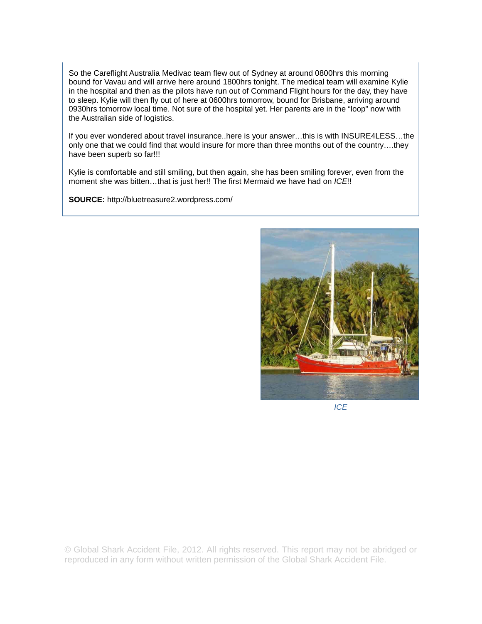So the Careflight Australia Medivac team flew out of Sydney at around 0800hrs this morning bound for Vavau and will arrive here around 1800hrs tonight. The medical team will examine Kylie in the hospital and then as the pilots have run out of Command Flight hours for the day, they have to sleep. Kylie will then fly out of here at 0600hrs tomorrow, bound for Brisbane, arriving around 0930hrs tomorrow local time. Not sure of the hospital yet. Her parents are in the "loop" now with the Australian side of logistics.

If you ever wondered about travel insurance..here is your answer…this is with INSURE4LESS…the only one that we could find that would insure for more than three months out of the country….they have been superb so far!!!

Kylie is comfortable and still smiling, but then again, she has been smiling forever, even from the moment she was bitten…that is just her!! The first Mermaid we have had on *ICE*!!

**SOURCE:** http://bluetreasure2.wordpress.com/



*ICE*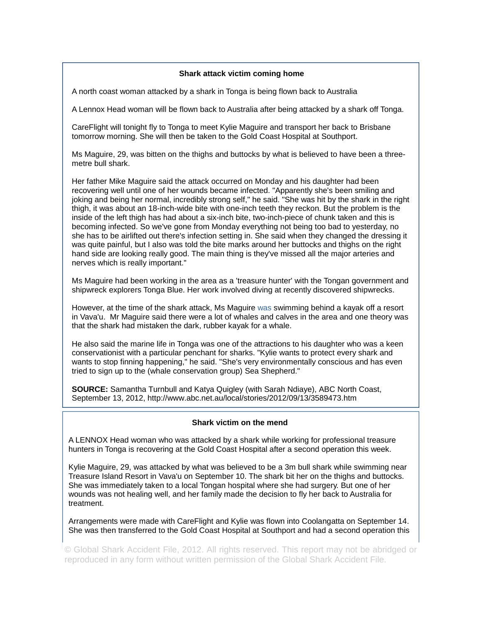### **Shark attack victim coming home**

A north coast woman attacked by a shark in Tonga is being flown back to Australia

A Lennox Head woman will be flown back to Australia after being attacked by a shark off Tonga.

CareFlight will tonight fly to Tonga to meet Kylie Maguire and transport her back to Brisbane tomorrow morning. She will then be taken to the Gold Coast Hospital at Southport.

Ms Maguire, 29, was bitten on the thighs and buttocks by what is believed to have been a threemetre bull shark.

Her father Mike Maguire said the attack occurred on Monday and his daughter had been recovering well until one of her wounds became infected. "Apparently she's been smiling and joking and being her normal, incredibly strong self," he said. "She was hit by the shark in the right thigh, it was about an 18-inch-wide bite with one-inch teeth they reckon. But the problem is the inside of the left thigh has had about a six-inch bite, two-inch-piece of chunk taken and this is becoming infected. So we've gone from Monday everything not being too bad to yesterday, no she has to be airlifted out there's infection setting in. She said when they changed the dressing it was quite painful, but I also was told the bite marks around her buttocks and thighs on the right hand side are looking really good. The main thing is they've missed all the major arteries and nerves which is really important."

Ms Maguire had been working in the area as a 'treasure hunter' with the Tongan government and shipwreck explorers Tonga Blue. Her work involved diving at recently discovered shipwrecks.

However, at the time of the shark attack, Ms Maguire was swimming behind a kayak off a resort in Vava'u. Mr Maguire said there were a lot of whales and calves in the area and one theory was that the shark had mistaken the dark, rubber kayak for a whale.

He also said the marine life in Tonga was one of the attractions to his daughter who was a keen conservationist with a particular penchant for sharks. "Kylie wants to protect every shark and wants to stop finning happening," he said. "She's very environmentally conscious and has even tried to sign up to the (whale conservation group) Sea Shepherd."

**SOURCE:** Samantha Turnbull and Katya Quigley (with Sarah Ndiaye), ABC North Coast, September 13, 2012, http://www.abc.net.au/local/stories/2012/09/13/3589473.htm

#### **Shark victim on the mend**

A LENNOX Head woman who was attacked by a shark while working for professional treasure hunters in Tonga is recovering at the Gold Coast Hospital after a second operation this week.

Kylie Maguire, 29, was attacked by what was believed to be a 3m bull shark while swimming near Treasure Island Resort in Vava'u on September 10. The shark bit her on the thighs and buttocks. She was immediately taken to a local Tongan hospital where she had surgery. But one of her wounds was not healing well, and her family made the decision to fly her back to Australia for treatment.

Arrangements were made with CareFlight and Kylie was flown into Coolangatta on September 14. She was then transferred to the Gold Coast Hospital at Southport and had a second operation this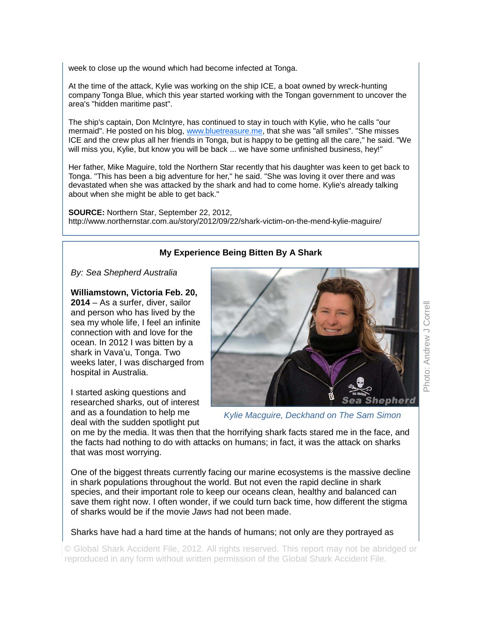week to close up the wound which had become infected at Tonga.

At the time of the attack, Kylie was working on the ship ICE, a boat owned by wreck-hunting company Tonga Blue, which this year started working with the Tongan government to uncover the area's "hidden maritime past".

The ship's captain, Don McIntyre, has continued to stay in touch with Kylie, who he calls "our mermaid". He posted on his blog, www.bluetreasure.me, that she was "all smiles". "She misses ICE and the crew plus all her friends in Tonga, but is happy to be getting all the care," he said. "We will miss you, Kylie, but know you will be back ... we have some unfinished business, hey!"

Her father, Mike Maguire, told the Northern Star recently that his daughter was keen to get back to Tonga. "This has been a big adventure for her," he said. "She was loving it over there and was devastated when she was attacked by the shark and had to come home. Kylie's already talking about when she might be able to get back."

**SOURCE:** Northern Star, September 22, 2012, http://www.northernstar.com.au/story/2012/09/22/shark-victim-on-the-mend-kylie-maguire/

# **My Experience Being Bitten By A Shark**

*By: Sea Shepherd Australia* 

**Williamstown, Victoria Feb. 20,** 

**2014** – As a surfer, diver, sailor and person who has lived by the sea my whole life, I feel an infinite connection with and love for the ocean. In 2012 I was bitten by a shark in Vava'u, Tonga. Two weeks later, I was discharged from hospital in Australia.

I started asking questions and researched sharks, out of interest and as a foundation to help me deal with the sudden spotlight put



*Kylie Macguire, Deckhand on The Sam Simon* 

on me by the media. It was then that the horrifying shark facts stared me in the face, and the facts had nothing to do with attacks on humans; in fact, it was the attack on sharks that was most worrying.

One of the biggest threats currently facing our marine ecosystems is the massive decline in shark populations throughout the world. But not even the rapid decline in shark species, and their important role to keep our oceans clean, healthy and balanced can save them right now. I often wonder, if we could turn back time, how different the stigma of sharks would be if the movie *Jaws* had not been made.

Sharks have had a hard time at the hands of humans; not only are they portrayed as